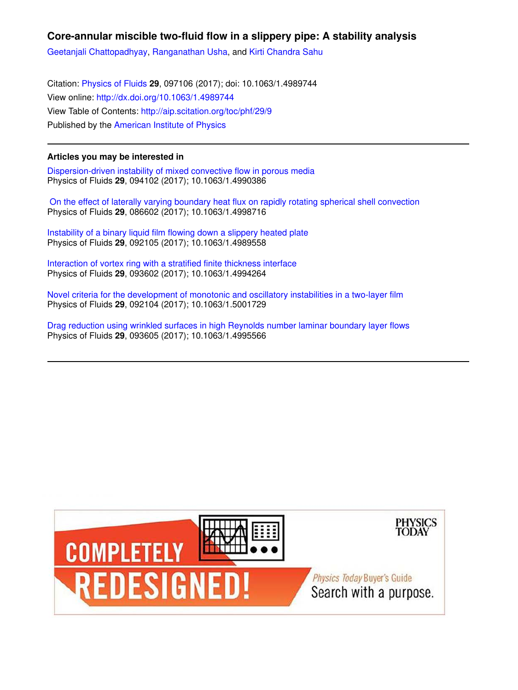## **Core-annular miscible two-fluid flow in a slippery pipe: A stability analysis**

Geetanjali Chattopadhyay, Ranganathan Usha, and Kirti Chandra Sahu

Citation: Physics of Fluids **29**, 097106 (2017); doi: 10.1063/1.4989744 View online: http://dx.doi.org/10.1063/1.4989744 View Table of Contents: http://aip.scitation.org/toc/phf/29/9 Published by the American Institute of Physics

## **Articles you may be interested in**

Dispersion-driven instability of mixed convective flow in porous media Physics of Fluids **29**, 094102 (2017); 10.1063/1.4990386

 On the effect of laterally varying boundary heat flux on rapidly rotating spherical shell convection Physics of Fluids **29**, 086602 (2017); 10.1063/1.4998716

Instability of a binary liquid film flowing down a slippery heated plate Physics of Fluids **29**, 092105 (2017); 10.1063/1.4989558

Interaction of vortex ring with a stratified finite thickness interface Physics of Fluids **29**, 093602 (2017); 10.1063/1.4994264

Novel criteria for the development of monotonic and oscillatory instabilities in a two-layer film Physics of Fluids **29**, 092104 (2017); 10.1063/1.5001729

Drag reduction using wrinkled surfaces in high Reynolds number laminar boundary layer flows Physics of Fluids **29**, 093605 (2017); 10.1063/1.4995566

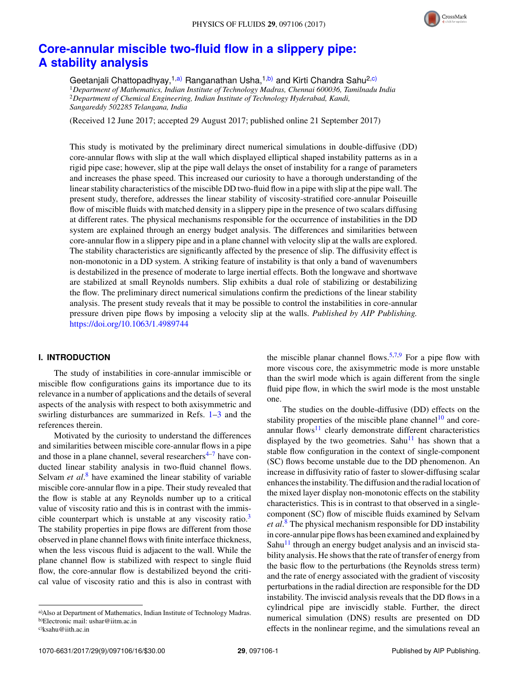

# **Core-annular miscible two-fluid flow in a slippery pipe: A stability analysis**

Geetanjali Chattopadhyay,<sup>1,a)</sup> Ranganathan Usha,<sup>1,b)</sup> and Kirti Chandra Sahu<sup>2,c)</sup> <sup>1</sup>*Department of Mathematics, Indian Institute of Technology Madras, Chennai 600036, Tamilnadu India* <sup>2</sup>*Department of Chemical Engineering, Indian Institute of Technology Hyderabad, Kandi, Sangareddy 502285 Telangana, India*

(Received 12 June 2017; accepted 29 August 2017; published online 21 September 2017)

This study is motivated by the preliminary direct numerical simulations in double-diffusive (DD) core-annular flows with slip at the wall which displayed elliptical shaped instability patterns as in a rigid pipe case; however, slip at the pipe wall delays the onset of instability for a range of parameters and increases the phase speed. This increased our curiosity to have a thorough understanding of the linear stability characteristics of the miscible DD two-fluid flow in a pipe with slip at the pipe wall. The present study, therefore, addresses the linear stability of viscosity-stratified core-annular Poiseuille flow of miscible fluids with matched density in a slippery pipe in the presence of two scalars diffusing at different rates. The physical mechanisms responsible for the occurrence of instabilities in the DD system are explained through an energy budget analysis. The differences and similarities between core-annular flow in a slippery pipe and in a plane channel with velocity slip at the walls are explored. The stability characteristics are significantly affected by the presence of slip. The diffusivity effect is non-monotonic in a DD system. A striking feature of instability is that only a band of wavenumbers is destabilized in the presence of moderate to large inertial effects. Both the longwave and shortwave are stabilized at small Reynolds numbers. Slip exhibits a dual role of stabilizing or destabilizing the flow. The preliminary direct numerical simulations confirm the predictions of the linear stability analysis. The present study reveals that it may be possible to control the instabilities in core-annular pressure driven pipe flows by imposing a velocity slip at the walls. *Published by AIP Publishing.* https://doi.org/10.1063/1.4989744

## **I. INTRODUCTION**

The study of instabilities in core-annular immiscible or miscible flow configurations gains its importance due to its relevance in a number of applications and the details of several aspects of the analysis with respect to both axisymmetric and swirling disturbances are summarized in Refs. 1–3 and the references therein.

Motivated by the curiosity to understand the differences and similarities between miscible core-annular flows in a pipe and those in a plane channel, several researchers<sup> $4-7$ </sup> have conducted linear stability analysis in two-fluid channel flows. Selvam *et al.*<sup>8</sup> have examined the linear stability of variable miscible core-annular flow in a pipe. Their study revealed that the flow is stable at any Reynolds number up to a critical value of viscosity ratio and this is in contrast with the immiscible counterpart which is unstable at any viscosity ratio.<sup>3</sup> The stability properties in pipe flows are different from those observed in plane channel flows with finite interface thickness, when the less viscous fluid is adjacent to the wall. While the plane channel flow is stabilized with respect to single fluid flow, the core-annular flow is destabilized beyond the critical value of viscosity ratio and this is also in contrast with

the miscible planar channel flows.<sup>5,7,9</sup> For a pipe flow with more viscous core, the axisymmetric mode is more unstable than the swirl mode which is again different from the single fluid pipe flow, in which the swirl mode is the most unstable one.

The studies on the double-diffusive (DD) effects on the stability properties of the miscible plane channel<sup>10</sup> and coreannular flows<sup>11</sup> clearly demonstrate different characteristics displayed by the two geometries. Sahu $<sup>11</sup>$  has shown that a</sup> stable flow configuration in the context of single-component (SC) flows become unstable due to the DD phenomenon. An increase in diffusivity ratio of faster to slower-diffusing scalar enhances the instability. The diffusion and the radial location of the mixed layer display non-monotonic effects on the stability characteristics. This is in contrast to that observed in a singlecomponent (SC) flow of miscible fluids examined by Selvam *et al*. <sup>8</sup> The physical mechanism responsible for DD instability in core-annular pipe flows has been examined and explained by Sahu $<sup>11</sup>$  through an energy budget analysis and an inviscid sta-</sup> bility analysis. He shows that the rate of transfer of energy from the basic flow to the perturbations (the Reynolds stress term) and the rate of energy associated with the gradient of viscosity perturbations in the radial direction are responsible for the DD instability. The inviscid analysis reveals that the DD flows in a cylindrical pipe are inviscidly stable. Further, the direct numerical simulation (DNS) results are presented on DD effects in the nonlinear regime, and the simulations reveal an

a)Also at Department of Mathematics, Indian Institute of Technology Madras. b)Electronic mail: ushar@iitm.ac.in

 $c)$ ksahu@iith.ac.in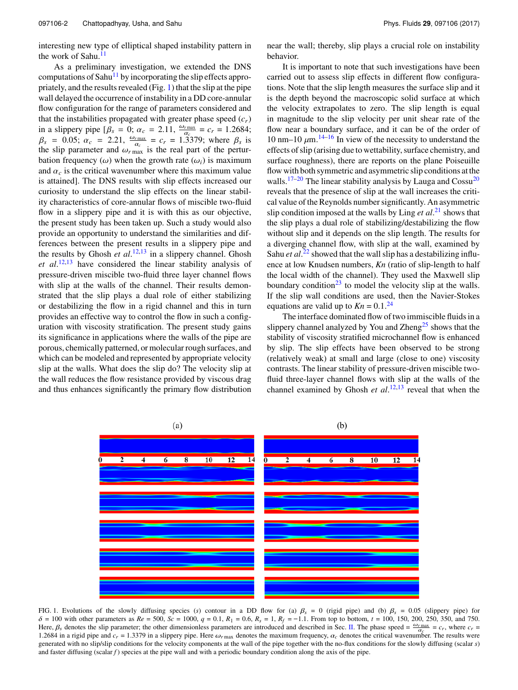interesting new type of elliptical shaped instability pattern in the work of Sahu.<sup>11</sup>

As a preliminary investigation, we extended the DNS computations of Sahu $^{11}$  by incorporating the slip effects appropriately, and the results revealed (Fig. 1) that the slip at the pipe wall delayed the occurrence of instability in a DD core-annular flow configuration for the range of parameters considered and that the instabilities propagated with greater phase speed  $(c_r)$ in a slippery pipe  $\left[\beta_s = 0; \alpha_c = 2.11, \frac{\omega_{r \text{ max}}}{\alpha_c} = c_r = 1.2684; \right]$  $\beta_s = 0.05$ ;  $\alpha_c = 2.21$ ,  $\frac{\omega_{r \text{ max}}}{\alpha_c} = c_r = 1.3379$ ; where  $\beta_s$  is the slip parameter and  $\omega_{r \max}$  is the real part of the perturbation frequency  $(\omega)$  when the growth rate  $(\omega_i)$  is maximum and  $\alpha_c$  is the critical wavenumber where this maximum value is attained]. The DNS results with slip effects increased our curiosity to understand the slip effects on the linear stability characteristics of core-annular flows of miscible two-fluid flow in a slippery pipe and it is with this as our objective, the present study has been taken up. Such a study would also provide an opportunity to understand the similarities and differences between the present results in a slippery pipe and the results by Ghosh *et al*. 12,13 in a slippery channel. Ghosh *et al*. 12,13 have considered the linear stability analysis of pressure-driven miscible two-fluid three layer channel flows with slip at the walls of the channel. Their results demonstrated that the slip plays a dual role of either stabilizing or destabilizing the flow in a rigid channel and this in turn provides an effective way to control the flow in such a configuration with viscosity stratification. The present study gains its significance in applications where the walls of the pipe are porous, chemically patterned, or molecular rough surfaces, and which can be modeled and represented by appropriate velocity slip at the walls. What does the slip do? The velocity slip at the wall reduces the flow resistance provided by viscous drag and thus enhances significantly the primary flow distribution

near the wall; thereby, slip plays a crucial role on instability behavior.

It is important to note that such investigations have been carried out to assess slip effects in different flow configurations. Note that the slip length measures the surface slip and it is the depth beyond the macroscopic solid surface at which the velocity extrapolates to zero. The slip length is equal in magnitude to the slip velocity per unit shear rate of the flow near a boundary surface, and it can be of the order of 10 nm–10  $\mu$ m.<sup>14–16</sup> In view of the necessity to understand the effects of slip (arising due to wettability, surface chemistry, and surface roughness), there are reports on the plane Poiseuille flow with both symmetric and asymmetric slip conditions at the walls.<sup>17–20</sup> The linear stability analysis by Lauga and  $\cos(120)$ reveals that the presence of slip at the wall increases the critical value of the Reynolds number significantly. An asymmetric slip condition imposed at the walls by Ling *et al*. <sup>21</sup> shows that the slip plays a dual role of stabilizing/destabilizing the flow without slip and it depends on the slip length. The results for a diverging channel flow, with slip at the wall, examined by Sahu *et al*.<sup>22</sup> showed that the wall slip has a destabilizing influence at low Knudsen numbers, *Kn* (ratio of slip-length to half the local width of the channel). They used the Maxwell slip boundary condition<sup>23</sup> to model the velocity slip at the walls. If the slip wall conditions are used, then the Navier-Stokes equations are valid up to  $Kn = 0.1$ .<sup>24</sup>

The interface dominated flow of two immiscible fluids in a slippery channel analyzed by You and  $Zheng<sup>25</sup>$  shows that the stability of viscosity stratified microchannel flow is enhanced by slip. The slip effects have been observed to be strong (relatively weak) at small and large (close to one) viscosity contrasts. The linear stability of pressure-driven miscible twofluid three-layer channel flows with slip at the walls of the channel examined by Ghosh *et al*. 12,13 reveal that when the



FIG. 1. Evolutions of the slowly diffusing species (*s*) contour in a DD flow for (a)  $\beta_s = 0$  (rigid pipe) and (b)  $\beta_s = 0.05$  (slippery pipe) for FIG. 1. Evolutions of the slowly diffusing species (s) contour in a DD flow for (a)  $\beta_s = 0$  (rigid pipe) and (b)  $\beta_s = 0.05$  (slippery pipe) for  $\delta = 100$  with other parameters as  $Re = 500$ ,  $Sc = 1000$ ,  $q = 0.1$ ,  $R_1 = 0.6$ Here,  $\beta_s$  denotes the slip parameter; the other dimensionless parameters are introduced and described in Sec. II. The phase speed =  $\frac{\omega_{rmax}}{\alpha_c} = c_r$ , where  $c_r = c$ 1.2684 in a rigid pipe and  $c_r = 1.3379$  in a slippery pipe. Here  $\omega_{r, \text{max}}$  denotes the maximum frequency,  $\alpha_c$  denotes the critical wavenumber. The results were generated with no slip/slip conditions for the velocity components at the wall of the pipe together with the no-flux conditions for the slowly diffusing (scalar *s*) and faster diffusing (scalar *f*) species at the pipe wall and with a periodic boundary condition along the axis of the pipe.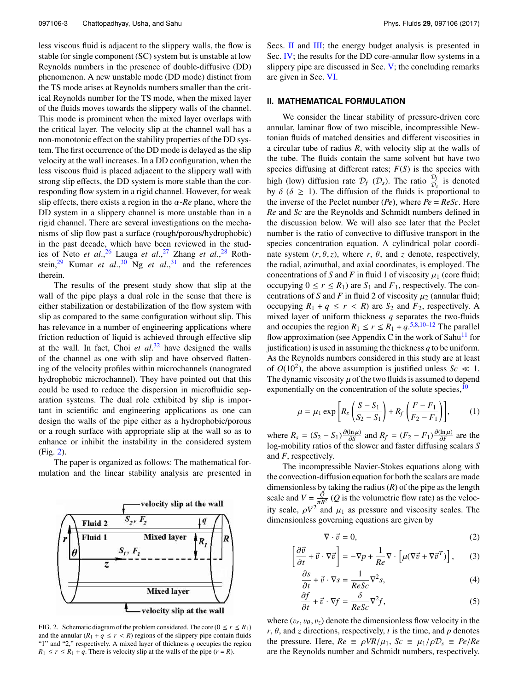less viscous fluid is adjacent to the slippery walls, the flow is stable for single component (SC) system but is unstable at low Reynolds numbers in the presence of double-diffusive (DD) phenomenon. A new unstable mode (DD mode) distinct from the TS mode arises at Reynolds numbers smaller than the critical Reynolds number for the TS mode, when the mixed layer of the fluids moves towards the slippery walls of the channel. This mode is prominent when the mixed layer overlaps with the critical layer. The velocity slip at the channel wall has a non-monotonic effect on the stability properties of the DD system. The first occurrence of the DD mode is delayed as the slip velocity at the wall increases. In a DD configuration, when the less viscous fluid is placed adjacent to the slippery wall with strong slip effects, the DD system is more stable than the corresponding flow system in a rigid channel. However, for weak slip effects, there exists a region in the  $\alpha$ - $Re$  plane, where the DD system in a slippery channel is more unstable than in a rigid channel. There are several investigations on the mechanisms of slip flow past a surface (rough/porous/hydrophobic) in the past decade, which have been reviewed in the studies of Neto *et al*., <sup>26</sup> Lauga *et al*., <sup>27</sup> Zhang *et al*., <sup>28</sup> Rothstein,<sup>29</sup> Kumar *et al*., <sup>30</sup> Ng *et al*., <sup>31</sup> and the references therein.

The results of the present study show that slip at the wall of the pipe plays a dual role in the sense that there is either stabilization or destabilization of the flow system with slip as compared to the same configuration without slip. This has relevance in a number of engineering applications where friction reduction of liquid is achieved through effective slip at the wall. In fact, Choi *et al*. <sup>32</sup> have designed the walls of the channel as one with slip and have observed flattening of the velocity profiles within microchannels (nanograted hydrophobic microchannel). They have pointed out that this could be used to reduce the dispersion in microfluidic separation systems. The dual role exhibited by slip is important in scientific and engineering applications as one can design the walls of the pipe either as a hydrophobic/porous or a rough surface with appropriate slip at the wall so as to enhance or inhibit the instability in the considered system (Fig. 2).

The paper is organized as follows: The mathematical formulation and the linear stability analysis are presented in



FIG. 2. Schematic diagram of the problem considered. The core  $(0 \le r \le R_1)$ and the annular  $(R_1 + q \le r < R)$  regions of the slippery pipe contain fluids "1" and "2," respectively. A mixed layer of thickness *q* occupies the region  $R_1 \le r \le R_1 + q$ . There is velocity slip at the walls of the pipe  $(r = R)$ .

Secs. II and III; the energy budget analysis is presented in Sec. IV; the results for the DD core-annular flow systems in a slippery pipe are discussed in Sec. V; the concluding remarks are given in Sec. VI.

#### **II. MATHEMATICAL FORMULATION**

We consider the linear stability of pressure-driven core annular, laminar flow of two miscible, incompressible Newtonian fluids of matched densities and different viscosities in a circular tube of radius *R*, with velocity slip at the walls of the tube. The fluids contain the same solvent but have two species diffusing at different rates;  $F(S)$  is the species with high (low) diffusion rate  $\mathcal{D}_f$  ( $\mathcal{D}_s$ ). The ratio  $\frac{\mathcal{D}_f}{\mathcal{D}_s}$  is denoted by  $\delta$  ( $\delta \geq 1$ ). The diffusion of the fluids is proportional to the inverse of the Peclet number  $(Pe)$ , where  $Pe = ReSc$ . Here *Re* and *Sc* are the Reynolds and Schmidt numbers defined in the discussion below. We will also see later that the Peclet number is the ratio of convective to diffusive transport in the species concentration equation. A cylindrical polar coordinate system  $(r, \theta, z)$ , where  $r$ ,  $\theta$ , and  $z$  denote, respectively, the radial, azimuthal, and axial coordinates, is employed. The concentrations of *S* and *F* in fluid 1 of viscosity  $\mu_1$  (core fluid; occupying  $0 \le r \le R_1$ ) are  $S_1$  and  $F_1$ , respectively. The concentrations of *S* and *F* in fluid 2 of viscosity  $\mu_2$  (annular fluid; occupying  $R_1 + q \leq r < R$ ) are  $S_2$  and  $F_2$ , respectively. A mixed layer of uniform thickness *q* separates the two-fluids and occupies the region  $R_1 \le r \le R_1 + q^{5,8,10-12}$  The parallel flow approximation (see Appendix C in the work of Sahu $<sup>11</sup>$  for</sup> justification) is used in assuming the thickness *q* to be uniform. As the Reynolds numbers considered in this study are at least of  $O(10^2)$ , the above assumption is justified unless  $Sc \ll 1$ . The dynamic viscosity  $\mu$  of the two fluids is assumed to depend exponentially on the concentration of the solute species,  $\frac{10}{2}$ 

$$
\mu = \mu_1 \exp\left[R_s \left(\frac{S - S_1}{S_2 - S_1}\right) + R_f \left(\frac{F - F_1}{F_2 - F_1}\right)\right],\tag{1}
$$

where  $R_s = (S_2 - S_1) \frac{\partial (\ln \mu)}{\partial S}$  $rac{\ln \mu}{\partial S}$  and  $R_f = (F_2 - F_1) \frac{\partial (\ln \mu)}{\partial F}$  $\frac{(\ln \mu)}{\partial F}$  are the log-mobility ratios of the slower and faster diffusing scalars *S* and *F*, respectively.

The incompressible Navier-Stokes equations along with the convection-diffusion equation for both the scalars are made dimensionless by taking the radius (*R*) of the pipe as the length scale and  $V = \frac{\dot{Q}}{\pi R}$  $\frac{Q}{\pi R^2}$  (*Q* is the volumetric flow rate) as the velocity scale,  $\rho V^2$  and  $\mu_1$  as pressure and viscosity scales. The dimensionless governing equations are given by

$$
\nabla \cdot \vec{v} = 0,\tag{2}
$$

$$
\left[\frac{\partial \vec{v}}{\partial t} + \vec{v} \cdot \nabla \vec{v}\right] = -\nabla p + \frac{1}{Re} \nabla \cdot \left[\mu (\nabla \vec{v} + \nabla \vec{v}^T)\right],\tag{3}
$$

$$
\frac{\partial s}{\partial t} + \vec{v} \cdot \nabla s = \frac{1}{ReSc} \nabla^2 s,\tag{4}
$$

$$
\frac{\partial f}{\partial t} + \vec{v} \cdot \nabla f = \frac{\delta}{ReSc} \nabla^2 f,\tag{5}
$$

where  $(v_r, v_\theta, v_z)$  denote the dimensionless flow velocity in the  $r, \theta$ , and *z* directions, respectively, *t* is the time, and *p* denotes the pressure. Here,  $Re \equiv \rho V R / \mu_1$ ,  $Sc \equiv \mu_1 / \rho D_s \equiv Pe / Re$ are the Reynolds number and Schmidt numbers, respectively.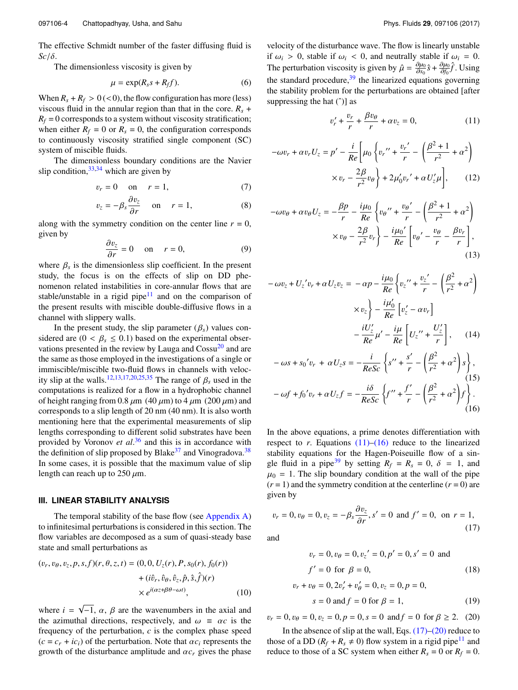The effective Schmidt number of the faster diffusing fluid is *Sc*/δ.

The dimensionless viscosity is given by

$$
\mu = \exp(R_s s + R_f f). \tag{6}
$$

When  $R_s + R_f > 0$  (<0), the flow configuration has more (less) viscous fluid in the annular region than that in the core.  $R_s$  +  $R_f = 0$  corresponds to a system without viscosity stratification; when either  $R_f = 0$  or  $R_s = 0$ , the configuration corresponds to continuously viscosity stratified single component (SC) system of miscible fluids.

The dimensionless boundary conditions are the Navier slip condition,  $33,34$  which are given by

$$
v_r = 0 \quad \text{on} \quad r = 1,\tag{7}
$$

$$
v_z = -\beta_s \frac{\partial v_z}{\partial r} \quad \text{on} \quad r = 1,\tag{8}
$$

along with the symmetry condition on the center line  $r = 0$ , given by

$$
\frac{\partial v_z}{\partial r} = 0 \quad \text{on} \quad r = 0,\tag{9}
$$

where  $\beta_s$  is the dimensionless slip coefficient. In the present study, the focus is on the effects of slip on DD phenomenon related instabilities in core-annular flows that are stable/unstable in a rigid pipe<sup>11</sup> and on the comparison of the present results with miscible double-diffusive flows in a channel with slippery walls.

In the present study, the slip parameter  $(\beta_s)$  values considered are  $(0 < \beta_s \le 0.1)$  based on the experimental observations presented in the review by Lauga and  $\cos{\theta}^{20}$  and are the same as those employed in the investigations of a single or immiscible/miscible two-fluid flows in channels with velocity slip at the walls.<sup>12,13,17,20,25,35</sup> The range of  $\beta_s$  used in the computations is realized for a flow in a hydrophobic channel of height ranging from 0.8  $\mu$ m (40  $\mu$ m) to 4  $\mu$ m (200  $\mu$ m) and corresponds to a slip length of 20 nm (40 nm). It is also worth mentioning here that the experimental measurements of slip lengths corresponding to different solid substrates have been provided by Voronov *et al*. <sup>36</sup> and this is in accordance with the definition of slip proposed by Blake<sup>37</sup> and Vinogradova.<sup>38</sup> In some cases, it is possible that the maximum value of slip length can reach up to  $250 \mu m$ .

#### **III. LINEAR STABILITY ANALYSIS**

The temporal stability of the base flow (see Appendix A) to infinitesimal perturbations is considered in this section. The flow variables are decomposed as a sum of quasi-steady base state and small perturbations as

$$
(v_r, v_\theta, v_z, p, s, f)(r, \theta, z, t) = (0, 0, U_z(r), P, s_0(r), f_0(r))
$$
  
+ 
$$
(i\hat{v}_r, \hat{v}_\theta, \hat{v}_z, \hat{p}, \hat{s}, \hat{f})(r)
$$
  
× 
$$
e^{i(\alpha z + \beta \theta - \omega t)},
$$
 (10)

where  $i = \sqrt{-1}$ ,  $\alpha$ ,  $\beta$  are the wavenumbers in the axial and the azimuthal directions, respectively, and  $\omega \equiv \alpha c$  is the frequency of the perturbation, *c* is the complex phase speed  $(c = c_r + ic_i)$  of the perturbation. Note that  $\alpha c_i$  represents the growth of the disturbance amplitude and  $\alpha c_r$  gives the phase

velocity of the disturbance wave. The flow is linearly unstable if  $\omega_i > 0$ , stable if  $\omega_i < 0$ , and neutrally stable if  $\omega_i = 0$ . The perturbation viscosity is given by  $\hat{\mu} = \frac{\partial \mu_0}{\partial s_0}$  $\frac{\partial \mu_0}{\partial s_0} \hat{s} + \frac{\partial \mu_0}{\partial f_0}$  $\frac{\partial \mu_0}{\partial f_0} \hat{f}$ . Using the standard procedure,  $39$  the linearized equations governing the stability problem for the perturbations are obtained [after suppressing the hat  $(\hat{\ })$  as

$$
v'_r + \frac{v_r}{r} + \frac{\beta v_\theta}{r} + \alpha v_z = 0, \tag{11}
$$

$$
-\omega v_r + \alpha v_r U_z = p' - \frac{i}{Re} \left[ \mu_0 \left\{ v_r'' + \frac{v_r'}{r} - \left( \frac{\beta^2 + 1}{r^2} + \alpha^2 \right) \right.\right.
$$

$$
\times v_r - \frac{2\beta}{r^2} v_\theta \right\} + 2\mu'_0 v_r' + \alpha U'_z \mu \Big], \qquad (12)
$$

$$
-\omega v_{\theta} + \alpha v_{\theta} U_z = -\frac{\beta p}{r} - \frac{i\mu_0}{Re} \left\{ v_{\theta}^{\prime\prime} + \frac{v_{\theta}^{\prime}}{r} - \left( \frac{\beta^2 + 1}{r^2} + \alpha^2 \right) \times v_{\theta} - \frac{2\beta}{r^2} v_r \right\} - \frac{i\mu_0^{\prime}}{Re} \left[ v_{\theta}^{\prime} - \frac{v_{\theta}}{r} - \frac{\beta v_r}{r} \right],
$$
\n(13)

$$
-\omega v_z + U_z' v_r + \alpha U_z v_z = -\alpha p - \frac{i\mu_0}{Re} \left\{ v_z'' + \frac{v_z'}{r} - \left(\frac{\beta^2}{r^2} + \alpha^2\right) \times v_z \right\} - \frac{i\mu'_0}{Re} \left[ v_z' - \alpha v_r \right] - \frac{iU_z'}{Re} \mu' - \frac{i\mu}{Re} \left[ U_z'' + \frac{U_z'}{r} \right], \quad (14)
$$

$$
-\omega s + s_0' v_r + \alpha U_z s = -\frac{i}{ReSc} \left\{ s'' + \frac{s'}{r} - \left(\frac{\beta^2}{r^2} + \alpha^2\right) s \right\},\tag{15}
$$

$$
-\omega f + f_0' v_r + \alpha U_z f = -\frac{i\delta}{ReSc} \left\{ f'' + \frac{f'}{r} - \left(\frac{\beta^2}{r^2} + \alpha^2\right) f \right\}.
$$

In the above equations, a prime denotes differentiation with respect to  $r$ . Equations  $(11)$ – $(16)$  reduce to the linearized stability equations for the Hagen-Poiseuille flow of a single fluid in a pipe<sup>39</sup> by setting  $R_f = R_s = 0$ ,  $\delta = 1$ , and  $\mu_0 = 1$ . The slip boundary condition at the wall of the pipe  $(r = 1)$  and the symmetry condition at the centerline  $(r = 0)$  are given by

$$
v_r = 0, v_\theta = 0, v_z = -\beta_s \frac{\partial v_z}{\partial r}, s' = 0 \text{ and } f' = 0, \text{ on } r = 1,
$$
\n(17)

and

$$
v_r = 0, v_{\theta} = 0, v_z' = 0, p' = 0, s' = 0 \text{ and}
$$
  

$$
f' = 0 \text{ for } \beta = 0,
$$
 (18)

$$
v_r + v_\theta = 0, 2v'_r + v'_\theta = 0, v_z = 0, p = 0,
$$
  

$$
s = 0 \text{ and } f = 0 \text{ for } \beta = 1,
$$
 (19)

$$
v_r = 0, v_\theta = 0, v_z = 0, p = 0, s = 0 \text{ and } f = 0 \text{ for } \beta \ge 2.
$$
 (20)

In the absence of slip at the wall, Eqs.  $(17)$ – $(20)$  reduce to those of a DD ( $R_f + R_s \neq 0$ ) flow system in a rigid pipe<sup>11</sup> and reduce to those of a SC system when either  $R_s = 0$  or  $R_f = 0$ .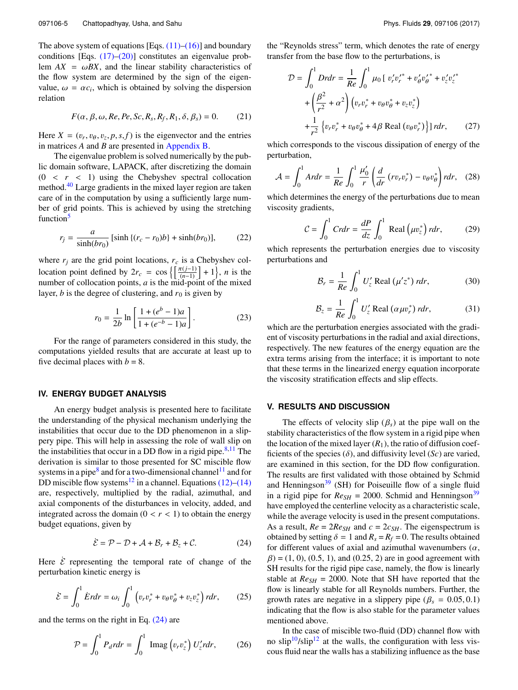The above system of equations [Eqs.  $(11)–(16)$ ] and boundary conditions [Eqs. (17)–(20)] constitutes an eigenvalue problem  $AX = \omega BX$ , and the linear stability characteristics of the flow system are determined by the sign of the eigenvalue,  $\omega = \alpha c_i$ , which is obtained by solving the dispersion relation

$$
F(\alpha, \beta, \omega, Re, Pe, Sc, R_s, R_f, R_1, \delta, \beta_s) = 0.
$$
 (21)

Here  $X = (v_r, v_\theta, v_z, p, s, f)$  is the eigenvector and the entries in matrices *A* and *B* are presented in Appendix B.

The eigenvalue problem is solved numerically by the public domain software, LAPACK, after discretizing the domain  $(0 < r < 1)$  using the Chebyshev spectral collocation method.<sup>40</sup> Large gradients in the mixed layer region are taken care of in the computation by using a sufficiently large number of grid points. This is achieved by using the stretching function<sup>3</sup>

$$
r_j = \frac{a}{\sinh(b r_0)} [\sinh\{(r_c - r_0)b\} + \sinh(b r_0)],
$$
 (22)

where  $r_j$  are the grid point locations,  $r_c$  is a Chebyshev collocation point defined by  $2r_c = \cos\left\{\left[\frac{\pi(j-1)}{(n-1)}\right] + 1\right\}$ , *n* is the number of collocation points, *a* is the mid-point of the mixed layer, *b* is the degree of clustering, and  $r_0$  is given by

$$
r_0 = \frac{1}{2b} \ln \left[ \frac{1 + (e^b - 1)a}{1 + (e^{-b} - 1)a} \right].
$$
 (23)

For the range of parameters considered in this study, the computations yielded results that are accurate at least up to five decimal places with  $b = 8$ .

#### **IV. ENERGY BUDGET ANALYSIS**

An energy budget analysis is presented here to facilitate the understanding of the physical mechanism underlying the instabilities that occur due to the DD phenomenon in a slippery pipe. This will help in assessing the role of wall slip on the instabilities that occur in a DD flow in a rigid pipe. $8,11$  The derivation is similar to those presented for SC miscible flow systems in a pipe<sup>8</sup> and for a two-dimensional channel<sup>11</sup> and for DD miscible flow systems<sup>12</sup> in a channel. Equations  $(12)$ – $(14)$ are, respectively, multiplied by the radial, azimuthal, and axial components of the disturbances in velocity, added, and integrated across the domain  $(0 < r < 1)$  to obtain the energy budget equations, given by

$$
\dot{\mathcal{E}} = \mathcal{P} - \mathcal{D} + \mathcal{A} + \mathcal{B}_r + \mathcal{B}_z + \mathcal{C}.\tag{24}
$$

Here  $\dot{\mathcal{E}}$  representing the temporal rate of change of the perturbation kinetic energy is

$$
\dot{\mathcal{E}} = \int_0^1 \dot{E}r dr = \omega_i \int_0^1 \left( v_r v_r^* + v_\theta v_\theta^* + v_z v_z^* \right) r dr, \qquad (25)
$$

and the terms on the right in Eq. (24) are

$$
\mathcal{P} = \int_0^1 P_d r dr = \int_0^1 \text{ Image}\left(v_r v_z^*\right) U'_z r dr, \tag{26}
$$

the "Reynolds stress" term, which denotes the rate of energy transfer from the base flow to the perturbations, is

$$
\mathcal{D} = \int_0^1 Dr dr = \frac{1}{Re} \int_0^1 \mu_0 \left[ v_r' v_r'^* + v_\theta' v_\theta'^* + v_z' v_z'^* \right. \\
\left. + \left( \frac{\beta^2}{r^2} + \alpha^2 \right) \left( v_r v_r^* + v_\theta v_\theta^* + v_z v_z^* \right) \\
+ \frac{1}{r^2} \left\{ v_r v_r^* + v_\theta v_\theta^* + 4\beta \text{ Real} \left( v_\theta v_r^* \right) \right\} \right] r dr, \qquad (27)
$$

which corresponds to the viscous dissipation of energy of the perturbation,

$$
\mathcal{A} = \int_0^1 Ar dr = \frac{1}{Re} \int_0^1 \frac{\mu'_0}{r} \left( \frac{d}{dr} \left( r v_r v_r^* \right) - v_\theta v_\theta^* \right) r dr, \quad (28)
$$

which determines the energy of the perturbations due to mean viscosity gradients,

$$
C = \int_0^1 C r dr = \frac{dP}{dz} \int_0^1 \text{ Real} \left(\mu v_z^*\right) r dr,\tag{29}
$$

which represents the perturbation energies due to viscosity perturbations and

$$
\mathcal{B}_r = \frac{1}{Re} \int_0^1 U'_z \text{ Real } (\mu' z^*) \, r dr,\tag{30}
$$

$$
\mathcal{B}_z = \frac{1}{Re} \int_0^1 U'_z \text{ Real } (\alpha \mu v_r^*) \, r dr,
$$
 (31)

which are the perturbation energies associated with the gradient of viscosity perturbations in the radial and axial directions, respectively. The new features of the energy equation are the extra terms arising from the interface; it is important to note that these terms in the linearized energy equation incorporate the viscosity stratification effects and slip effects.

#### **V. RESULTS AND DISCUSSION**

The effects of velocity slip  $(\beta_s)$  at the pipe wall on the stability characteristics of the flow system in a rigid pipe when the location of the mixed layer  $(R_1)$ , the ratio of diffusion coefficients of the species  $(\delta)$ , and diffusivity level  $(Sc)$  are varied, are examined in this section, for the DD flow configuration. The results are first validated with those obtained by Schmid and Henningson<sup>39</sup> (SH) for Poiseuille flow of a single fluid in a rigid pipe for  $Re_{SH} = 2000$ . Schmid and Henningson<sup>39</sup> have employed the centerline velocity as a characteristic scale, while the average velocity is used in the present computations. As a result,  $Re = 2Re_{SH}$  and  $c = 2c_{SH}$ . The eigenspectrum is obtained by setting  $\delta = 1$  and  $R_s = R_f = 0$ . The results obtained for different values of axial and azimuthal wavenumbers  $(\alpha, \beta)$  $\beta$ ) = (1, 0), (0.5, 1), and (0.25, 2) are in good agreement with SH results for the rigid pipe case, namely, the flow is linearly stable at  $Re_{SH}$  = 2000. Note that SH have reported that the flow is linearly stable for all Reynolds numbers. Further, the growth rates are negative in a slippery pipe ( $\beta_s = 0.05, 0.1$ ) indicating that the flow is also stable for the parameter values mentioned above.

In the case of miscible two-fluid (DD) channel flow with no slip<sup>10</sup>/slip<sup>12</sup> at the walls, the configuration with less viscous fluid near the walls has a stabilizing influence as the base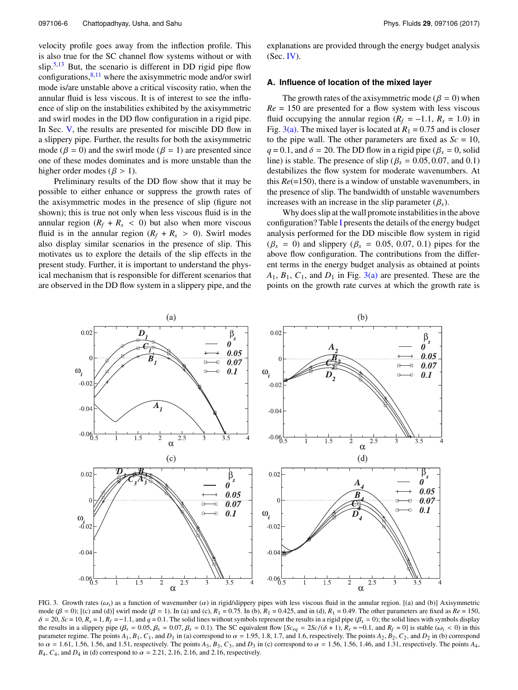velocity profile goes away from the inflection profile. This is also true for the SC channel flow systems without or with slip. $5,13$  But, the scenario is different in DD rigid pipe flow configurations,  $8,11$  where the axisymmetric mode and/or swirl mode is/are unstable above a critical viscosity ratio, when the annular fluid is less viscous. It is of interest to see the influence of slip on the instabilities exhibited by the axisymmetric and swirl modes in the DD flow configuration in a rigid pipe. In Sec. V, the results are presented for miscible DD flow in a slippery pipe. Further, the results for both the axisymmetric mode ( $\beta = 0$ ) and the swirl mode ( $\beta = 1$ ) are presented since one of these modes dominates and is more unstable than the higher order modes ( $\beta$  > 1).

Preliminary results of the DD flow show that it may be possible to either enhance or suppress the growth rates of the axisymmetric modes in the presence of slip (figure not shown); this is true not only when less viscous fluid is in the annular region  $(R_f + R_s < 0)$  but also when more viscous fluid is in the annular region  $(R_f + R_s > 0)$ . Swirl modes also display similar scenarios in the presence of slip. This motivates us to explore the details of the slip effects in the present study. Further, it is important to understand the physical mechanism that is responsible for different scenarios that are observed in the DD flow system in a slippery pipe, and the

explanations are provided through the energy budget analysis  $(Sec. IV).$ 

#### **A. Influence of location of the mixed layer**

The growth rates of the axisymmetric mode ( $\beta = 0$ ) when  $Re = 150$  are presented for a flow system with less viscous fluid occupying the annular region ( $R_f = -1.1$ ,  $R_s = 1.0$ ) in Fig. 3(a). The mixed layer is located at  $R_1 = 0.75$  and is closer to the pipe wall. The other parameters are fixed as  $Sc = 10$ ,  $q = 0.1$ , and  $\delta = 20$ . The DD flow in a rigid pipe ( $\beta_s = 0$ , solid line) is stable. The presence of slip ( $\beta_s = 0.05, 0.07,$  and 0.1) destabilizes the flow system for moderate wavenumbers. At this  $Re(=150)$ , there is a window of unstable wavenumbers, in the presence of slip. The bandwidth of unstable wavenumbers increases with an increase in the slip parameter  $(\beta_s)$ .

Why does slip at the wall promote instabilities in the above configuration? Table I presents the details of the energy budget analysis performed for the DD miscible flow system in rigid  $(\beta_s = 0)$  and slippery  $(\beta_s = 0.05, 0.07, 0.1)$  pipes for the above flow configuration. The contributions from the different terms in the energy budget analysis as obtained at points  $A_1$ ,  $B_1$ ,  $C_1$ , and  $D_1$  in Fig. 3(a) are presented. These are the points on the growth rate curves at which the growth rate is



FIG. 3. Growth rates  $(\omega_i)$  as a function of wavenumber  $(\alpha)$  in rigid/slippery pipes with less viscous fluid in the annular region. [(a) and (b)] Axisymmetric mode (β = 0); [(c) and (d)] swirl mode (β = 1). In (a) and (c),  $R_1 = 0.75$ . In (b),  $R_1 = 0.425$ , and in (d),  $R_1 = 0.49$ . The other parameters are fixed as  $Re = 150$ , **EIG.** 3. Growth rates (ω<sub>i</sub>) as a function of wavenumber (α) in rigid/slippery pipes with less viscous fluid in the annular region. [(a) and (b)] Axisymmetric mode (β = 0); [(c) and (d)] swirl mode (β = 1). In (a) and ( FIG. 3. Growth rates ( $\omega_i$ ) as a function of wavenumber ( $\alpha$ ) in rigid/slippery pipes with less viscous fluid in the annular region. [(a) and (b)] Axisymmetric mode ( $\beta = 0$ ); [(c) and (d)] swirl mode ( $\beta = 1$ ). In (a) the results in a slippery pipe  $(\beta_s = 0.05, \beta_s = 0.07, \beta_s = 0.1)$ . The SC equivalent flow  $[Sc_{eq} = 2Sc/(\delta + 1), R_s = -0.1$ , and  $R_f = 0]$  is stable  $(\omega_i < 0)$  in this parameter regime. The points  $A_1, B_1, C_1$ , and  $D_1$  in (a) corre to  $\alpha = 1.61, 1.56, 1.56,$  and 1.51, respectively. The points  $A_3$ ,  $B_3$ ,  $C_3$ , and  $D_3$  in (c) correspond to  $\alpha = 1.56, 1.56, 1.46,$  and 1.31, respectively. The points  $A_4$ , *B*<sub>4</sub>,  $C_4$ , and  $D_4$  in (d) correspond to  $\alpha = 2.21, 2.16, 2.16,$  and 2.16, respectively.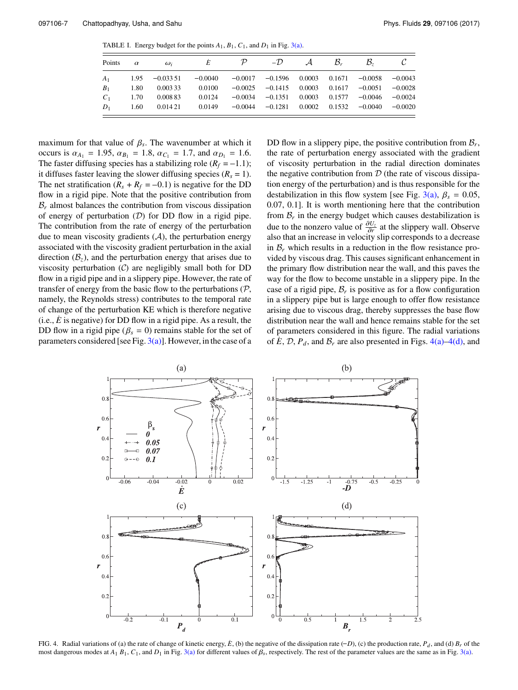TABLE I. Energy budget for the points  $A_1$ ,  $B_1$ ,  $C_1$ , and  $D_1$  in Fig. 3(a).

| Points         | $\alpha$ | $\omega_i$ | E         |           | $-\mathcal{D}$ | $\mathcal{A}$ | B.     | B,        | C         |
|----------------|----------|------------|-----------|-----------|----------------|---------------|--------|-----------|-----------|
| A <sub>1</sub> | 1.95     | $-0.03351$ | $-0.0040$ | $-0.0017$ | $-0.1596$      | 0.0003        | 0.1671 | $-0.0058$ | $-0.0043$ |
| $B_1$          | 1.80     | 0.00333    | 0.0100    | $-0.0025$ | $-0.1415$      | 0.0003        | 0.1617 | $-0.0051$ | $-0.0028$ |
| C <sub>1</sub> | 1.70     | 0.00883    | 0.0124    | $-0.0034$ | $-0.1351$      | 0.0003        | 0.1577 | $-0.0046$ | $-0.0024$ |
| $D_1$          | 1.60     | 0.01421    | 0.0149    | $-0.0044$ | $-0.1281$      | 0.0002        | 0.1532 | $-0.0040$ | $-0.0020$ |

maximum for that value of  $\beta_s$ . The wavenumber at which it occurs is  $\alpha_{A_1} = 1.95$ ,  $\alpha_{B_1} = 1.8$ ,  $\alpha_{C_1} = 1.7$ , and  $\alpha_{D_1} = 1.6$ . maximum for that value of  $\beta_s$ . The wavenumber at which it occurs is  $\alpha_{A_1} = 1.95$ ,  $\alpha_{B_1} = 1.8$ ,  $\alpha_{C_1} = 1.7$ , and  $\alpha_{D_1} = 1.6$ . The faster diffusing species has a stabilizing role ( $R_f = -1.1$ ); it diffuses faster leaving the slower diffusing species  $(R_s = 1)$ . occurs is  $\alpha_{A_1} = 1.95$ ,  $\alpha_{B_1} = 1.8$ ,  $\alpha_{C_1} = 1.7$ , and  $\alpha_{D_1} = 1.6$ .<br>The faster diffusing species has a stabilizing role ( $R_f = -1.1$ ); it diffuses faster leaving the slower diffusing species ( $R_s = 1$ ).<br>The net st flow in a rigid pipe. Note that the positive contribution from  $B_r$  almost balances the contribution from viscous dissipation of energy of perturbation  $(D)$  for DD flow in a rigid pipe. The contribution from the rate of energy of the perturbation due to mean viscosity gradients  $(A)$ , the perturbation energy associated with the viscosity gradient perturbation in the axial direction  $(\mathcal{B}_z)$ , and the perturbation energy that arises due to viscosity perturbation  $(C)$  are negligibly small both for DD flow in a rigid pipe and in a slippery pipe. However, the rate of transfer of energy from the basic flow to the perturbations  $(\mathcal{P},$ namely, the Reynolds stress) contributes to the temporal rate of change of the perturbation KE which is therefore negative (i.e.,  $\dot{E}$  is negative) for DD flow in a rigid pipe. As a result, the DD flow in a rigid pipe ( $\beta_s = 0$ ) remains stable for the set of parameters considered [see Fig.  $3(a)$ ]. However, in the case of a

DD flow in a slippery pipe, the positive contribution from  $\mathcal{B}_r$ , the rate of perturbation energy associated with the gradient of viscosity perturbation in the radial direction dominates the negative contribution from  $D$  (the rate of viscous dissipation energy of the perturbation) and is thus responsible for the destabilization in this flow system [see Fig.  $3(a)$ ,  $\beta_s = 0.05$ , 0.07, 0.1]. It is worth mentioning here that the contribution from  $\mathcal{B}_r$  in the energy budget which causes destabilization is due to the nonzero value of  $\frac{\partial U_z}{\partial r}$  at the slippery wall. Observe also that an increase in velocity slip corresponds to a decrease in  $B_r$  which results in a reduction in the flow resistance provided by viscous drag. This causes significant enhancement in the primary flow distribution near the wall, and this paves the way for the flow to become unstable in a slippery pipe. In the case of a rigid pipe,  $B_r$  is positive as for a flow configuration in a slippery pipe but is large enough to offer flow resistance arising due to viscous drag, thereby suppresses the base flow distribution near the wall and hence remains stable for the set of parameters considered in this figure. The radial variations of  $\dot{E}$ ,  $\mathcal{D}$ ,  $P_d$ , and  $\mathcal{B}_r$  are also presented in Figs. 4(a)–4(d), and



most dangerous modes at  $A_1 B_1$ ,  $C_1$ , and  $D_1$  in Fig. 3(a) for different values of  $\beta_s$ , respectively. The rest of the parameter values are the same as in Fig. 3(a).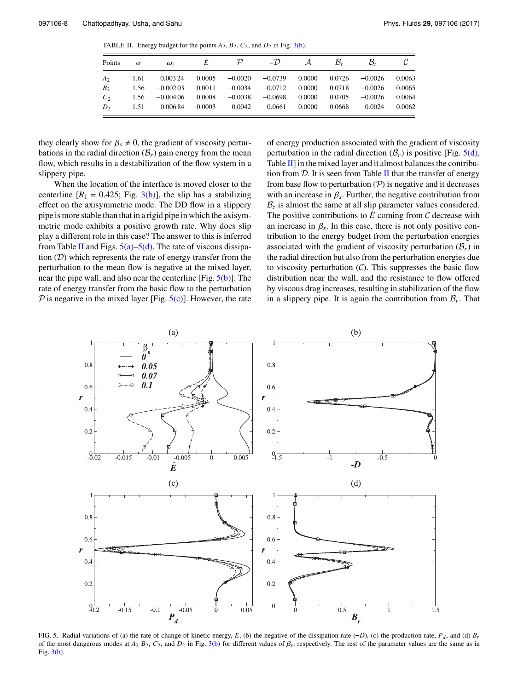TABLE II. Energy budget for the points  $A_2$ ,  $B_2$ ,  $C_2$ , and  $D_2$  in Fig. 3(b).

| Points         | $\alpha$ | $\omega_i$ | E      |           | $-D$      | А      | B,     | B,        | C      |
|----------------|----------|------------|--------|-----------|-----------|--------|--------|-----------|--------|
| A <sub>2</sub> | 1.61     | 0.00324    | 0.0005 | $-0.0020$ | $-0.0739$ | 0.0000 | 0.0726 | $-0.0026$ | 0.0063 |
| B <sub>2</sub> | 1.56     | $-0.00203$ | 0.0011 | $-0.0034$ | $-0.0712$ | 0.0000 | 0.0718 | $-0.0026$ | 0.0065 |
| C <sub>2</sub> | 1.56     | $-0.00406$ | 0.0008 | $-0.0038$ | $-0.0698$ | 0.0000 | 0.0705 | $-0.0026$ | 0.0064 |
| D <sub>2</sub> | 1.51     | $-0.00684$ | 0.0003 | $-0.0042$ | $-0.0661$ | 0.0000 | 0.0668 | $-0.0024$ | 0.0062 |

they clearly show for  $\beta_s \neq 0$ , the gradient of viscosity perturbations in the radial direction  $(\mathcal{B}_r)$  gain energy from the mean flow, which results in a destabilization of the flow system in a slippery pipe.

When the location of the interface is moved closer to the centerline  $[R_1 = 0.425;$  Fig.  $3(b)$ ], the slip has a stabilizing effect on the axisymmetric mode. The DD flow in a slippery pipe is more stable than that in a rigid pipe in which the axisymmetric mode exhibits a positive growth rate. Why does slip play a different role in this case? The answer to this is inferred from Table II and Figs.  $5(a)$ – $5(d)$ . The rate of viscous dissipation  $(D)$  which represents the rate of energy transfer from the perturbation to the mean flow is negative at the mixed layer, near the pipe wall, and also near the centerline [Fig. 5(b)]. The rate of energy transfer from the basic flow to the perturbation  $P$  is negative in the mixed layer [Fig.  $5(c)$ ]. However, the rate of energy production associated with the gradient of viscosity perturbation in the radial direction  $(\mathcal{B}_r)$  is positive [Fig. 5(d), Table  $II$ ] in the mixed layer and it almost balances the contribution from  $D$ . It is seen from Table II that the transfer of energy from base flow to perturbation  $(P)$  is negative and it decreases with an increase in  $\beta_s$ . Further, the negative contribution from  $B<sub>z</sub>$  is almost the same at all slip parameter values considered. The positive contributions to  $E$  coming from  $C$  decrease with an increase in  $\beta_s$ . In this case, there is not only positive contribution to the energy budget from the perturbation energies associated with the gradient of viscosity perturbation  $(\mathcal{B}_r)$  in the radial direction but also from the perturbation energies due to viscosity perturbation  $(C)$ . This suppresses the basic flow distribution near the wall, and the resistance to flow offered by viscous drag increases, resulting in stabilization of the flow in a slippery pipe. It is again the contribution from  $\mathcal{B}_r$ . That



of the most dangerous modes at  $A_2 B_2$ ,  $C_2$ , and  $D_2$  in Fig. 3(b) for different values of  $\beta_s$ , respectively. The rest of the parameter values are the same as in Fig. 3(b).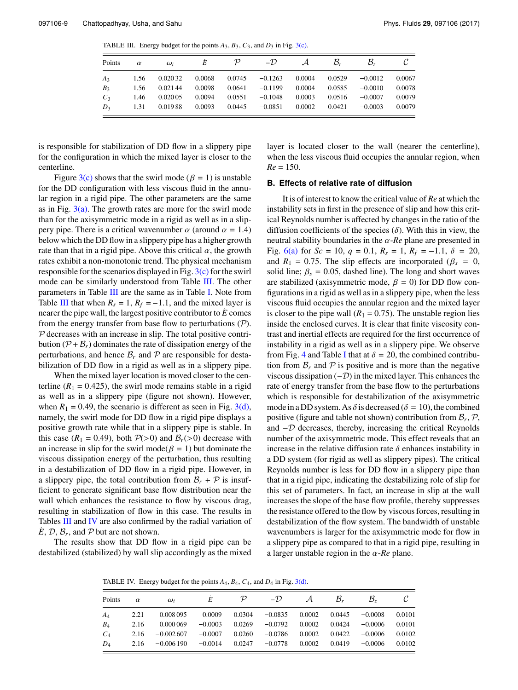TABLE III. Energy budget for the points  $A_3$ ,  $B_3$ ,  $C_3$ , and  $D_3$  in Fig. 3(c).

| Points | $\alpha$ | $\omega_i$ | È      | P      | $-\mathcal{D}$ | А      | B.     | B,        | C      |
|--------|----------|------------|--------|--------|----------------|--------|--------|-----------|--------|
| $A_3$  | 1.56     | 0.02032    | 0.0068 | 0.0745 | $-0.1263$      | 0.0004 | 0.0529 | $-0.0012$ | 0.0067 |
| $B_3$  | 1.56     | 0.02144    | 0.0098 | 0.0641 | $-0.1199$      | 0.0004 | 0.0585 | $-0.0010$ | 0.0078 |
| $C_3$  | 1.46     | 0.02005    | 0.0094 | 0.0551 | $-0.1048$      | 0.0003 | 0.0516 | $-0.0007$ | 0.0079 |
| $D_3$  | 1.31     | 0.01988    | 0.0093 | 0.0445 | $-0.0851$      | 0.0002 | 0.0421 | $-0.0003$ | 0.0079 |

is responsible for stabilization of DD flow in a slippery pipe for the configuration in which the mixed layer is closer to the centerline.

Figure 3(c) shows that the swirl mode ( $\beta = 1$ ) is unstable for the DD configuration with less viscous fluid in the annular region in a rigid pipe. The other parameters are the same as in Fig.  $3(a)$ . The growth rates are more for the swirl mode than for the axisymmetric mode in a rigid as well as in a slippery pipe. There is a critical wavenumber  $\alpha$  (around  $\alpha = 1.4$ ) below which the DD flow in a slippery pipe has a higher growth rate than that in a rigid pipe. Above this critical  $\alpha$ , the growth rates exhibit a non-monotonic trend. The physical mechanism responsible for the scenarios displayed in Fig. 3(c) for the swirl mode can be similarly understood from Table III. The other parameters in Table III are the same as in Table I. Note from Table III that when  $R_s = 1$ ,  $R_f =$ mode can be similarly understood from Table III. The other parameters in Table III are the same as in Table I. Note from nearer the pipe wall, the largest positive contributor to  $\vec{E}$  comes from the energy transfer from base flow to perturbations  $(P)$ .  $P$  decreases with an increase in slip. The total positive contribution  $(P + B_r)$  dominates the rate of dissipation energy of the perturbations, and hence  $B_r$  and  $\mathcal P$  are responsible for destabilization of DD flow in a rigid as well as in a slippery pipe.

When the mixed layer location is moved closer to the centerline  $(R_1 = 0.425)$ , the swirl mode remains stable in a rigid as well as in a slippery pipe (figure not shown). However, when  $R_1 = 0.49$ , the scenario is different as seen in Fig. 3(d), namely, the swirl mode for DD flow in a rigid pipe displays a positive growth rate while that in a slippery pipe is stable. In this case  $(R_1 = 0.49)$ , both  $P(>0)$  and  $B_r(>0)$  decrease with an increase in slip for the swirl mode( $\beta = 1$ ) but dominate the viscous dissipation energy of the perturbation, thus resulting in a destabilization of DD flow in a rigid pipe. However, in a slippery pipe, the total contribution from  $\mathcal{B}_r + \mathcal{P}$  is insufficient to generate significant base flow distribution near the wall which enhances the resistance to flow by viscous drag, resulting in stabilization of flow in this case. The results in Tables III and IV are also confirmed by the radial variation of  $\dot{E}$ ,  $\mathcal{D}$ ,  $\mathcal{B}_r$ , and  $\mathcal{P}$  but are not shown.

The results show that DD flow in a rigid pipe can be destabilized (stabilized) by wall slip accordingly as the mixed

layer is located closer to the wall (nearer the centerline), when the less viscous fluid occupies the annular region, when  $Re = 150$ .

#### **B. Effects of relative rate of diffusion**

It is of interest to know the critical value of *Re* at which the instability sets in first in the presence of slip and how this critical Reynolds number is affected by changes in the ratio of the diffusion coefficients of the species (δ). With this in view, the neutral stability boundaries in the  $\alpha$ -*Re* plane are presented in Fig. 6(a) for *Sc* = diffusion coefficients of the species  $(\delta)$ . With this in view, the neutral stability boundaries in the α-*Re* plane are presented in Fig. 6(a) for  $Sc = 10$ ,  $q = 0.1$ ,  $R_s = 1$ ,  $R_f = -1.1$ ,  $\delta = 20$ , and  $R_1 = 0.75$ . The slip effects are incorporated ( $\beta_s = 0$ , solid line;  $\beta_s = 0.05$ , dashed line). The long and short waves are stabilized (axisymmetric mode,  $\beta = 0$ ) for DD flow configurations in a rigid as well as in a slippery pipe, when the less viscous fluid occupies the annular region and the mixed layer is closer to the pipe wall  $(R_1 = 0.75)$ . The unstable region lies inside the enclosed curves. It is clear that finite viscosity contrast and inertial effects are required for the first occurrence of instability in a rigid as well as in a slippery pipe. We observe from Fig. 4 and Table I that at  $\delta = 20$ , the combined contribution from  $\mathcal{B}_r$  and  $\mathcal P$  is positive and is more than the negative viscous dissipation  $(-D)$  in the mixed layer. This enhances the rate of energy transfer from the base flow to the perturbations which is responsible for destabilization of the axisymmetric mode in a DD system. As  $\delta$  is decreased ( $\delta = 10$ ), the combined positive (figure and table not shown) contribution from  $\mathcal{B}_r$ ,  $\mathcal{P}$ , and <sup>−</sup><sup>D</sup> decreases, thereby, increasing the critical Reynolds number of the axisymmetric mode. This effect reveals that an increase in the relative diffusion rate  $\delta$  enhances instability in a DD system (for rigid as well as slippery pipes). The critical Reynolds number is less for DD flow in a slippery pipe than that in a rigid pipe, indicating the destabilizing role of slip for this set of parameters. In fact, an increase in slip at the wall increases the slope of the base flow profile, thereby suppresses the resistance offered to the flow by viscous forces, resulting in destabilization of the flow system. The bandwidth of unstable wavenumbers is larger for the axisymmetric mode for flow in a slippery pipe as compared to that in a rigid pipe, resulting in a larger unstable region in the α-*Re* plane.

TABLE IV. Energy budget for the points  $A_4$ ,  $B_4$ ,  $C_4$ , and  $D_4$  in Fig. 3(d).

| Points  | $\alpha$ | $\omega_i$  | E         | D      | $-D$      | А      | B,     | B,        | Ü      |  |  |  |
|---------|----------|-------------|-----------|--------|-----------|--------|--------|-----------|--------|--|--|--|
| A4      | 2.21     | 0.008 095   | 0.0009    | 0.0304 | $-0.0835$ | 0.0002 | 0.0445 | $-0.0008$ | 0.0101 |  |  |  |
| $B_4$   | 2.16     | 0.000 069   | $-0.0003$ | 0.0269 | $-0.0792$ | 0.0002 | 0.0424 | $-0.0006$ | 0.0101 |  |  |  |
| $C_4$   | 2.16     | $-0.002607$ | $-0.0007$ | 0.0260 | $-0.0786$ | 0.0002 | 0.0422 | $-0.0006$ | 0.0102 |  |  |  |
| $D_{4}$ | 2.16     | $-0.006190$ | $-0.0014$ | 0.0247 | $-0.0778$ | 0.0002 | 0.0419 | $-0.0006$ | 0.0102 |  |  |  |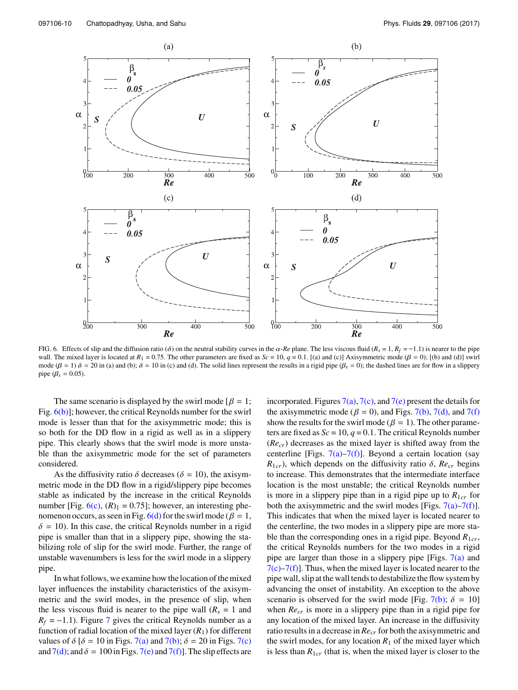

wall. The mixed layer is located at  $R_1 = 0.75$ . The other parameters are fixed as  $Sc = 10$ ,  $q = 0.1$ . [(a) and (c)] Axisymmetric mode ( $\beta = 0$ ); [(b) and (d)] swirl mode (β = 1) δ = 20 in (a) and (b); δ = 10 in (c) and (d). The solid lines represent the results in a rigid pipe ( $β_s$  = 0); the dashed lines are for flow in a slippery pipe ( $β<sub>s</sub> = 0.05$ ).

The same scenario is displayed by the swirl mode  $\beta = 1$ ; Fig. 6(b)]; however, the critical Reynolds number for the swirl mode is lesser than that for the axisymmetric mode; this is so both for the DD flow in a rigid as well as in a slippery pipe. This clearly shows that the swirl mode is more unstable than the axisymmetric mode for the set of parameters considered.

As the diffusivity ratio  $\delta$  decreases ( $\delta = 10$ ), the axisymmetric mode in the DD flow in a rigid/slippery pipe becomes stable as indicated by the increase in the critical Reynolds number [Fig.  $6(c)$ ,  $(R)_1 = 0.75$ ]; however, an interesting phenomenon occurs, as seen in Fig.  $6(d)$  for the swirl mode ( $\beta = 1$ ,  $\delta = 10$ ). In this case, the critical Reynolds number in a rigid pipe is smaller than that in a slippery pipe, showing the stabilizing role of slip for the swirl mode. Further, the range of unstable wavenumbers is less for the swirl mode in a slippery pipe.

In what follows, we examine how the location of the mixed layer influences the instability characteristics of the axisymmetric and the swirl modes, in the presence of slip, when the less viscous fluid is nearer to the pipe wall  $(R_s = 1$  and  $R_f = -1.1$ ). Figure 7 gives the critical Reynolds number as a function of radial location of the mixed layer  $(R_1)$  for different values of  $\delta$  [ $\delta$  = 10 in Figs. 7(a) and 7(b);  $\delta$  = 20 in Figs. 7(c) and  $7(d)$ ; and  $\delta = 100$  in Figs.  $7(e)$  and  $7(f)$ ]. The slip effects are

incorporated. Figures  $7(a)$ ,  $7(c)$ , and  $7(e)$  present the details for the axisymmetric mode ( $\beta = 0$ ), and Figs. 7(b), 7(d), and 7(f) show the results for the swirl mode ( $\beta = 1$ ). The other parameters are fixed as  $Sc = 10$ ,  $q = 0.1$ . The critical Reynolds number (*Recr*) decreases as the mixed layer is shifted away from the centerline [Figs.  $7(a)$ – $7(f)$ ]. Beyond a certain location (say  $R_{1cr}$ ), which depends on the diffusivity ratio  $\delta$ ,  $Re_{cr}$  begins to increase. This demonstrates that the intermediate interface location is the most unstable; the critical Reynolds number is more in a slippery pipe than in a rigid pipe up to  $R_{1cr}$  for both the axisymmetric and the swirl modes [Figs.  $7(a)$ – $7(f)$ ]. This indicates that when the mixed layer is located nearer to the centerline, the two modes in a slippery pipe are more stable than the corresponding ones in a rigid pipe. Beyond  $R_{1cr}$ , the critical Reynolds numbers for the two modes in a rigid pipe are larger than those in a slippery pipe [Figs.  $7(a)$  and  $7(c)$ – $7(f)$ ]. Thus, when the mixed layer is located nearer to the pipe wall, slip at the wall tends to destabilize the flow system by advancing the onset of instability. An exception to the above scenario is observed for the swirl mode [Fig. 7(b);  $\delta = 10$ ] when *Recr* is more in a slippery pipe than in a rigid pipe for any location of the mixed layer. An increase in the diffusivity ratio results in a decrease in *Recr* for both the axisymmetric and the swirl modes, for any location  $R_1$  of the mixed layer which is less than  $R_{1cr}$  (that is, when the mixed layer is closer to the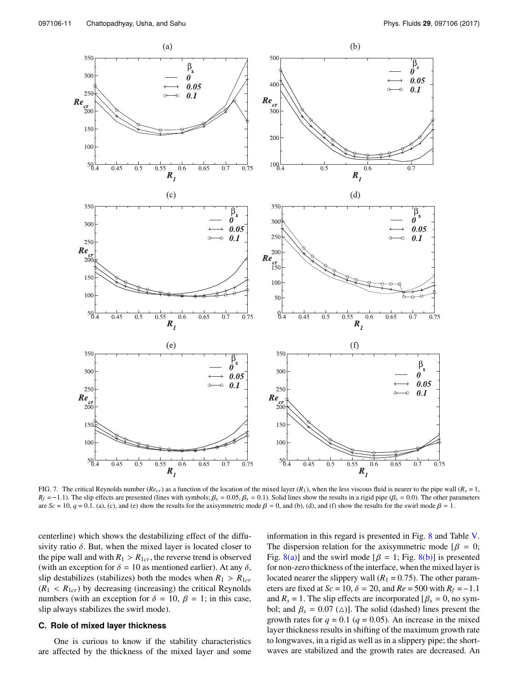

FIG. 7. The critical Reynolds number ( $Re_{cr}$ ) as a function of the location of the mixed layer ( $R_1$ ), when the less viscous fluid is nearer to the pipe wall ( $R_s = 1$ ,  $R_f = -1.1$ ). The slip effects are presented (lines with symbols;  $\beta_s = 0.05$ ,  $\beta_s = 0.1$ ). Solid lines show the results in a rigid pipe ( $\beta_s = 0.0$ ). The other parameters are  $Sc = 10$ ,  $q = 0.1$ . (a), (c), and (e) show the r

centerline) which shows the destabilizing effect of the diffusivity ratio  $\delta$ . But, when the mixed layer is located closer to the pipe wall and with  $R_1 > R_{1cr}$ , the reverse trend is observed (with an exception for  $\delta = 10$  as mentioned earlier). At any  $\delta$ , slip destabilizes (stabilizes) both the modes when  $R_1 > R_{1cr}$  $(R_1 < R_{1cr})$  by decreasing (increasing) the critical Reynolds numbers (with an exception for  $\delta = 10$ ,  $\beta = 1$ ; in this case, slip always stabilizes the swirl mode).

#### **C. Role of mixed layer thickness**

One is curious to know if the stability characteristics are affected by the thickness of the mixed layer and some

information in this regard is presented in Fig. 8 and Table V. The dispersion relation for the axisymmetric mode [ $\beta = 0$ ; Fig. 8(a)] and the swirl mode  $[\beta = 1;$  Fig. 8(b)] is presented for non-zero thickness of the interface, when the mixed layer is located nearer the slippery wall  $(R_1 = 0.75)$ . The other parameters are fixed at  $Sc = 10$ ,  $\delta = 20$ , and  $Re = 500$  with  $R_f = -1.1$ and  $R_s = 1$ . The slip effects are incorporated  $\beta_s = 0$ , no symbol; and  $\beta_s = 0.07 \ (\triangle)$ ]. The solid (dashed) lines present the growth rates for  $q = 0.1$  ( $q = 0.05$ ). An increase in the mixed layer thickness results in shifting of the maximum growth rate to longwaves, in a rigid as well as in a slippery pipe; the shortwaves are stabilized and the growth rates are decreased. An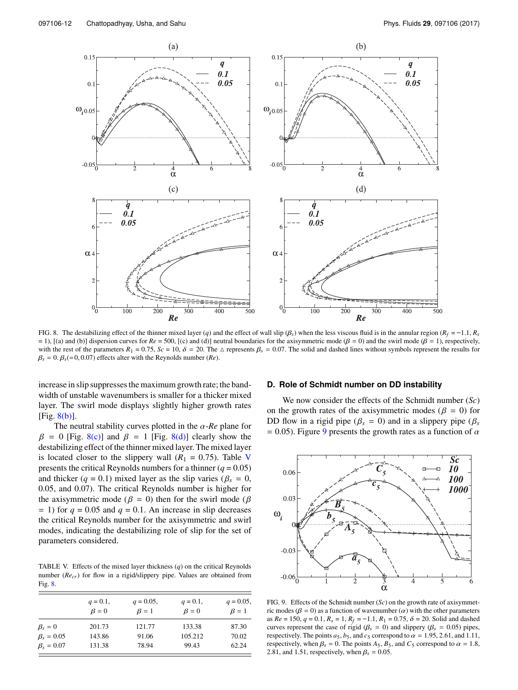

= 1), [(a) and (b)] dispersion curves for  $Re = 500$ , [(c) and (d)] neutral boundaries for the axisymmetric mode ( $\beta = 0$ ) and the swirl mode ( $\beta = 1$ ), respectively, with the rest of the parameters  $R_1 = 0.75$ ,  $Sc = 10$ ,  $\delta = 20$ . The  $\Delta$  represents  $\beta_s = 0.07$ . The solid and dashed lines without symbols represent the results for  $\beta_s = 0$ .  $\beta_s (= 0, 0.07)$  effects alter with the Reynolds number (*Re*).

increase in slip suppresses the maximum growth rate; the bandwidth of unstable wavenumbers is smaller for a thicker mixed layer. The swirl mode displays slightly higher growth rates [Fig. 8(b)].

The neutral stability curves plotted in the  $\alpha$ - $Re$  plane for  $\beta = 0$  [Fig. 8(c)] and  $\beta = 1$  [Fig. 8(d)] clearly show the destabilizing effect of the thinner mixed layer. The mixed layer is located closer to the slippery wall  $(R_1 = 0.75)$ . Table V presents the critical Reynolds numbers for a thinner  $(q = 0.05)$ and thicker ( $q = 0.1$ ) mixed layer as the slip varies ( $\beta_s = 0$ , 0.05, and 0.07). The critical Reynolds number is higher for the axisymmetric mode ( $\beta = 0$ ) then for the swirl mode ( $\beta$ )  $= 1$ ) for  $q = 0.05$  and  $q = 0.1$ . An increase in slip decreases the critical Reynolds number for the axisymmetric and swirl modes, indicating the destabilizing role of slip for the set of parameters considered.

TABLE V. Effects of the mixed layer thickness  $(q)$  on the critical Reynolds number (*Recr*) for flow in a rigid/slippery pipe. Values are obtained from Fig. 8.

|                  | $q = 0.1$ ,<br>$\beta = 0$ | $q = 0.05$ ,<br>$\beta = 1$ | $q = 0.1$ ,<br>$\beta = 0$ | $q = 0.05$ ,<br>$\beta = 1$ |
|------------------|----------------------------|-----------------------------|----------------------------|-----------------------------|
| $\beta_s = 0$    | 201.73                     | 121.77                      | 133.38                     | 87.30                       |
| $\beta_s = 0.05$ | 143.86                     | 91.06                       | 105.212                    | 70.02                       |
| $\beta_s = 0.07$ | 131.38                     | 78.94                       | 99.43                      | 62.24                       |

#### **D. Role of Schmidt number on DD instability**

We now consider the effects of the Schmidt number (*Sc*) on the growth rates of the axisymmetric modes ( $\beta = 0$ ) for DD flow in a rigid pipe ( $\beta_s = 0$ ) and in a slippery pipe ( $\beta_s$  $= 0.05$ ). Figure 9 presents the growth rates as a function of  $\alpha$ 



FIG. 9. Effects of the Schmidt number (*Sc*) on the growth rate of axisymmetric modes ( $\beta = 0$ ) as a function of wavenumber ( $\alpha$ ) with the other parameters as *Re* = 150, *<sup>q</sup>* = 0.1, *<sup>R</sup><sup>s</sup>* = 1, *<sup>R</sup><sup>f</sup>* <sup>=</sup> ☞1.1, *<sup>R</sup>*<sup>1</sup> = 0.75, <sup>δ</sup> = 20. Solid and dashed curves represent the case of rigid ( $\beta_s = 0$ ) and slippery ( $\beta_s = 0.05$ ) pipes, respectively. The points  $a_5$ ,  $b_5$ , and  $c_5$  correspond to  $\alpha = 1.95, 2.61$ , and 1.11, respectively, when  $\beta_s = 0$ . The points  $A_5$ ,  $B_5$ , and  $C_5$  correspond to  $\alpha = 1.8$ , 2.81, and 1.51, respectively, when  $\beta_s = 0.05$ .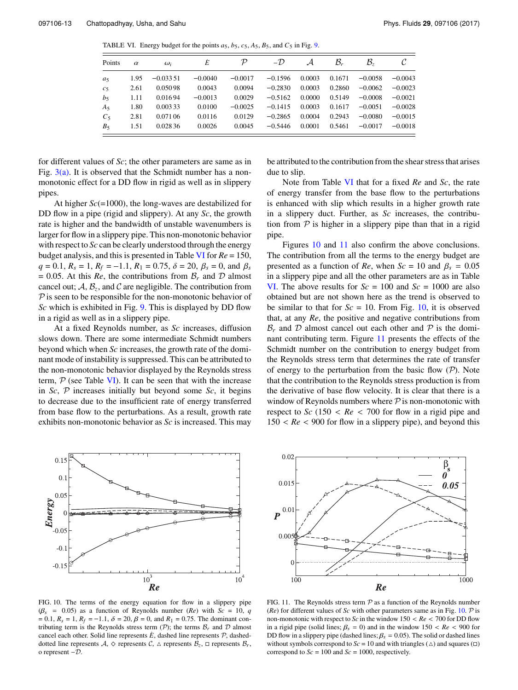TABLE VI. Energy budget for the points  $a_5$ ,  $b_5$ ,  $c_5$ ,  $A_5$ ,  $B_5$ , and  $C_5$  in Fig. 9.

| Points         | $\alpha$ | $\omega_i$ | E         | P         | $-\mathcal{D}$ | А      | $\mathcal{B}_r$ | B,        | C         |
|----------------|----------|------------|-----------|-----------|----------------|--------|-----------------|-----------|-----------|
| a <sub>5</sub> | 1.95     | $-0.03351$ | $-0.0040$ | $-0.0017$ | $-0.1596$      | 0.0003 | 0.1671          | $-0.0058$ | $-0.0043$ |
| $c_{5}$        | 2.61     | 0.05098    | 0.0043    | 0.0094    | $-0.2830$      | 0.0003 | 0.2860          | $-0.0062$ | $-0.0023$ |
| b <sub>5</sub> | 1.11     | 0.01694    | $-0.0013$ | 0.0029    | $-0.5162$      | 0.0000 | 0.5149          | $-0.0008$ | $-0.0021$ |
| $A_5$          | 1.80     | 0.00333    | 0.0100    | $-0.0025$ | $-0.1415$      | 0.0003 | 0.1617          | $-0.0051$ | $-0.0028$ |
| $C_5$          | 2.81     | 0.071 06   | 0.0116    | 0.0129    | $-0.2865$      | 0.0004 | 0.2943          | $-0.0080$ | $-0.0015$ |
| $B_5$          | 1.51     | 0.02836    | 0.0026    | 0.0045    | $-0.5446$      | 0.0001 | 0.5461          | $-0.0017$ | $-0.0018$ |

for different values of *Sc*; the other parameters are same as in Fig.  $3(a)$ . It is observed that the Schmidt number has a nonmonotonic effect for a DD flow in rigid as well as in slippery pipes.

At higher *Sc*(=1000), the long-waves are destabilized for DD flow in a pipe (rigid and slippery). At any *Sc*, the growth rate is higher and the bandwidth of unstable wavenumbers is larger for flow in a slippery pipe. This non-monotonic behavior with respect to *Sc* can be clearly understood through the energy budget analysis, and this is presented in Table VI for  $Re = 150$ ,  $q = 0.1$ ,  $R_s = 1$ ,  $R_f = -1.$ with respect to *Sc* can be clearly understood through the energy budget analysis, and this is presented in Table VI for *Re* = 150,  $= 0.05$ . At this *Re*, the contributions from  $\mathcal{B}_r$  and D almost cancel out;  $A, B_z$ , and  $C$  are negligible. The contribution from  $P$  is seen to be responsible for the non-monotonic behavior of *Sc* which is exhibited in Fig. 9. This is displayed by DD flow in a rigid as well as in a slippery pipe.

At a fixed Reynolds number, as *Sc* increases, diffusion slows down. There are some intermediate Schmidt numbers beyond which when *Sc* increases, the growth rate of the dominant mode of instability is suppressed. This can be attributed to the non-monotonic behavior displayed by the Reynolds stress term,  $P$  (see Table VI). It can be seen that with the increase in *Sc*, P increases initially but beyond some *Sc*, it begins to decrease due to the insufficient rate of energy transferred from base flow to the perturbations. As a result, growth rate exhibits non-monotonic behavior as *Sc* is increased. This may

be attributed to the contribution from the shear stress that arises due to slip.

Note from Table VI that for a fixed *Re* and *Sc*, the rate of energy transfer from the base flow to the perturbations is enhanced with slip which results in a higher growth rate in a slippery duct. Further, as *Sc* increases, the contribution from  $P$  is higher in a slippery pipe than that in a rigid pipe.

Figures 10 and 11 also confirm the above conclusions. The contribution from all the terms to the energy budget are presented as a function of *Re*, when  $Sc = 10$  and  $\beta_s = 0.05$ in a slippery pipe and all the other parameters are as in Table VI. The above results for  $Sc = 100$  and  $Sc = 1000$  are also obtained but are not shown here as the trend is observed to be similar to that for  $Sc = 10$ . From Fig. 10, it is observed that, at any *Re*, the positive and negative contributions from  $\mathcal{B}_r$  and  $\mathcal D$  almost cancel out each other and  $\mathcal P$  is the dominant contributing term. Figure 11 presents the effects of the Schmidt number on the contribution to energy budget from the Reynolds stress term that determines the rate of transfer of energy to the perturbation from the basic flow  $(P)$ . Note that the contribution to the Reynolds stress production is from the derivative of base flow velocity. It is clear that there is a window of Reynolds numbers where  $P$  is non-monotonic with respect to  $Sc$  (150  $\lt Re \lt 700$  for flow in a rigid pipe and  $150 < Re < 900$  for flow in a slippery pipe), and beyond this



FIG. 10. The terms of the energy equation for flow in a slippery pipe (β<sub>s</sub> = 0.05) as a function of Reynolds number (*Re*) with *Sc* = 10, *q* = 0.1, *R<sub>s</sub>* = 1, *R<sub>f</sub>* = -1.1, *δ* = 20, *β* = 0, and *R*<sub>1</sub> = 0.75. The dominant con-**FIG.** 10. The terms of the energy equation for flow in a slippery pipe  $(\beta_s = 0.05)$  as a function of Reynolds number  $(Re)$  with  $Sc = 10$ ,  $q = 0.1$ ,  $R_s = 1$ ,  $R_f = -1.1$ ,  $\delta = 20$ ,  $\beta = 0$ , and  $R_1 = 0.75$ . The dominant contributing term is the Reynolds stress term  $(P)$ ; the terms  $B_r$  and  $D$  almost cancel each other. Solid line represents  $\dot{E}$ , dashed line represents  $P$ , dasheddotted line represents  $A$ ,  $\diamond$  represents  $C$ ,  $\triangle$  represents  $B$ <sub>*z*</sub>,  $\square$  represents  $B$ <sub>*r*</sub>, o represent <sup>−</sup>D.



FIG. 11. The Reynolds stress term  $P$  as a function of the Reynolds number (*Re*) for different values of *Sc* with other parameters same as in Fig. 10. P is non-monotonic with respect to *Sc* in the window  $150 < Re < 700$  for DD flow in a rigid pipe (solid lines;  $\beta_s = 0$ ) and in the window  $150 < Re < 900$  for DD flow in a slippery pipe (dashed lines;  $\beta_s = 0.05$ ). The solid or dashed lines without symbols correspond to  $Sc = 10$  and with triangles ( $\triangle$ ) and squares ( $\Box$ ) correspond to  $Sc = 100$  and  $Sc = 1000$ , respectively.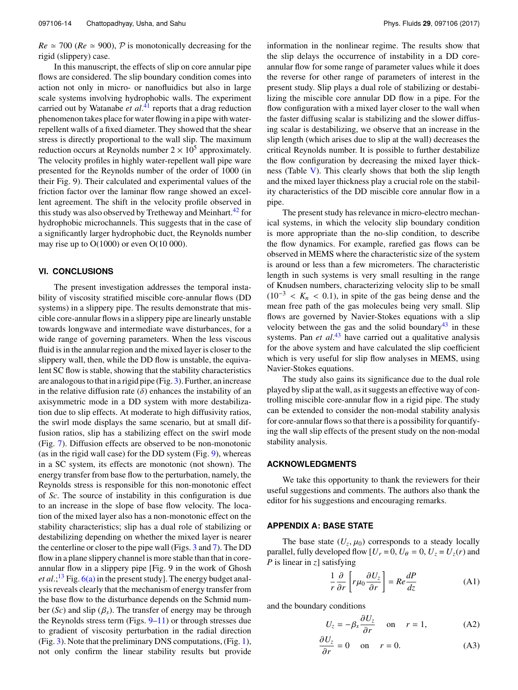$Re \approx 700$  ( $Re \approx 900$ ),  $\mathcal{P}$  is monotonically decreasing for the rigid (slippery) case.

In this manuscript, the effects of slip on core annular pipe flows are considered. The slip boundary condition comes into action not only in micro- or nanofluidics but also in large scale systems involving hydrophobic walls. The experiment carried out by Watanabe *et al*. <sup>41</sup> reports that a drag reduction phenomenon takes place for water flowing in a pipe with waterrepellent walls of a fixed diameter. They showed that the shear stress is directly proportional to the wall slip. The maximum reduction occurs at Reynolds number  $2 \times 10^5$  approximately. The velocity profiles in highly water-repellent wall pipe ware presented for the Reynolds number of the order of 1000 (in their Fig. 9). Their calculated and experimental values of the friction factor over the laminar flow range showed an excellent agreement. The shift in the velocity profile observed in this study was also observed by Tretheway and Meinhart. $42$  for hydrophobic microchannels. This suggests that in the case of a significantly larger hydrophobic duct, the Reynolds number may rise up to  $O(1000)$  or even  $O(10000)$ .

#### **VI. CONCLUSIONS**

The present investigation addresses the temporal instability of viscosity stratified miscible core-annular flows (DD systems) in a slippery pipe. The results demonstrate that miscible core-annular flows in a slippery pipe are linearly unstable towards longwave and intermediate wave disturbances, for a wide range of governing parameters. When the less viscous fluid is in the annular region and the mixed layer is closer to the slippery wall, then, while the DD flow is unstable, the equivalent SC flow is stable, showing that the stability characteristics are analogous to that in a rigid pipe (Fig. 3). Further, an increase in the relative diffusion rate  $(\delta)$  enhances the instability of an axisymmetric mode in a DD system with more destabilization due to slip effects. At moderate to high diffusivity ratios, the swirl mode displays the same scenario, but at small diffusion ratios, slip has a stabilizing effect on the swirl mode (Fig. 7). Diffusion effects are observed to be non-monotonic (as in the rigid wall case) for the DD system (Fig. 9), whereas in a SC system, its effects are monotonic (not shown). The energy transfer from base flow to the perturbation, namely, the Reynolds stress is responsible for this non-monotonic effect of *Sc*. The source of instability in this configuration is due to an increase in the slope of base flow velocity. The location of the mixed layer also has a non-monotonic effect on the stability characteristics; slip has a dual role of stabilizing or destabilizing depending on whether the mixed layer is nearer the centerline or closer to the pipe wall (Figs. 3 and 7). The DD flow in a plane slippery channel is more stable than that in coreannular flow in a slippery pipe [Fig. 9 in the work of Ghosh *et al*.;<sup>13</sup> Fig.  $6(a)$  in the present study]. The energy budget analysis reveals clearly that the mechanism of energy transfer from the base flow to the disturbance depends on the Schmid number (*Sc*) and slip ( $\beta_s$ ). The transfer of energy may be through the Reynolds stress term (Figs. 9–11) or through stresses due to gradient of viscosity perturbation in the radial direction (Fig. 3). Note that the preliminary DNS computations, (Fig. 1), not only confirm the linear stability results but provide

information in the nonlinear regime. The results show that the slip delays the occurrence of instability in a DD coreannular flow for some range of parameter values while it does the reverse for other range of parameters of interest in the present study. Slip plays a dual role of stabilizing or destabilizing the miscible core annular DD flow in a pipe. For the flow configuration with a mixed layer closer to the wall when the faster diffusing scalar is stabilizing and the slower diffusing scalar is destabilizing, we observe that an increase in the slip length (which arises due to slip at the wall) decreases the critical Reynolds number. It is possible to further destabilize the flow configuration by decreasing the mixed layer thickness (Table V). This clearly shows that both the slip length and the mixed layer thickness play a crucial role on the stability characteristics of the DD miscible core annular flow in a pipe.

The present study has relevance in micro-electro mechanical systems, in which the velocity slip boundary condition is more appropriate than the no-slip condition, to describe the flow dynamics. For example, rarefied gas flows can be observed in MEMS where the characteristic size of the system is around or less than a few micrometers. The characteristic length in such systems is very small resulting in the range of Knudsen numbers, characterizing velocity slip to be small  $(10^{-3} < K_n < 0.1)$ , in spite of the gas being dense and the mean free path of the gas molecules being very small. Slip flows are governed by Navier-Stokes equations with a slip velocity between the gas and the solid boundary<sup>43</sup> in these systems. Pan *et al*. <sup>43</sup> have carried out a qualitative analysis for the above system and have calculated the slip coefficient which is very useful for slip flow analyses in MEMS, using Navier-Stokes equations.

The study also gains its significance due to the dual role played by slip at the wall, as it suggests an effective way of controlling miscible core-annular flow in a rigid pipe. The study can be extended to consider the non-modal stability analysis for core-annular flows so that there is a possibility for quantifying the wall slip effects of the present study on the non-modal stability analysis.

#### **ACKNOWLEDGMENTS**

We take this opportunity to thank the reviewers for their useful suggestions and comments. The authors also thank the editor for his suggestions and encouraging remarks.

#### **APPENDIX A: BASE STATE**

The base state  $(U_z, \mu_0)$  corresponds to a steady locally parallel, fully developed flow  $[U_r = 0, U_\theta = 0, U_z = U_z(r)$  and *P* is linear in *z*] satisfying

$$
\frac{1}{r}\frac{\partial}{\partial r}\left[r\mu_0\frac{\partial U_z}{\partial r}\right] = Re\frac{dP}{dz}
$$
 (A1)

and the boundary conditions

$$
U_z = -\beta_s \frac{\partial U_z}{\partial r} \quad \text{on} \quad r = 1,
$$
 (A2)

$$
\frac{\partial U_z}{\partial r} = 0 \quad \text{on} \quad r = 0. \tag{A3}
$$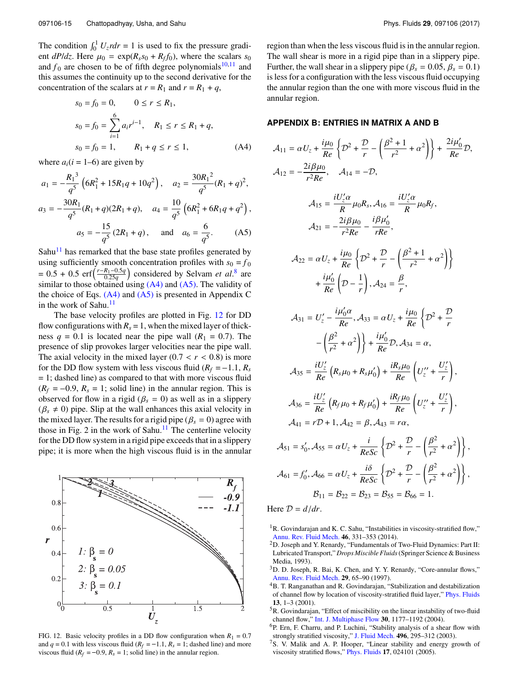The condition  $\int_0^1 U_z r dr = 1$  is used to fix the pressure gradient *dP*/*dz*. Here  $\mu_0 = \exp(R_s s_0 + R_f f_0)$ , where the scalars  $s_0$ and  $f_0$  are chosen to be of fifth degree polynomials<sup>10,11</sup> and this assumes the continuity up to the second derivative for the concentration of the scalars at  $r = R_1$  and  $r = R_1 + q$ ,

$$
s_0 = f_0 = 0, \t 0 \le r \le R_1,
$$
  
\n
$$
s_0 = f_0 = \sum_{i=1}^{6} a_i r^{i-1}, \t R_1 \le r \le R_1 + q,
$$
  
\n
$$
s_0 = f_0 = 1, \t R_1 + q \le r \le 1,
$$
 (A4)

where  $a_i(i = 1-6)$  are given by

$$
a_1 = -\frac{R_1^3}{q^5} \left(6R_1^2 + 15R_1q + 10q^2\right), \quad a_2 = \frac{30R_1^2}{q^5} (R_1 + q)^2,
$$
  

$$
a_3 = -\frac{30R_1}{q^5} (R_1 + q)(2R_1 + q), \quad a_4 = \frac{10}{q^5} \left(6R_1^2 + 6R_1q + q^2\right),
$$
  

$$
a_5 = -\frac{15}{q^5} (2R_1 + q), \quad \text{and} \quad a_6 = \frac{6}{q^5}.
$$
 (A5)

Sahu $<sup>11</sup>$  has remarked that the base state profiles generated by</sup> using sufficiently smooth concentration profiles with  $s_0 = f_0$  $= 0.5 + 0.5 \operatorname{erf}\left(\frac{r - R_1 - 0.5q}{0.25q}\right)$  considered by Selvam *et al.*<sup>8</sup> are similar to those obtained using  $(A4)$  and  $(A5)$ . The validity of the choice of Eqs.  $(A4)$  and  $(A5)$  is presented in Appendix C in the work of Sahu. $11$ 

The base velocity profiles are plotted in Fig. 12 for DD flow configurations with  $R_s = 1$ , when the mixed layer of thickness  $q = 0.1$  is located near the pipe wall ( $R_1 = 0.7$ ). The presence of slip provokes larger velocities near the pipe wall. The axial velocity in the mixed layer ( $0.7 < r < 0.8$ ) is more for the DD flow system with less v presence of slip provokes larger velocities near the pipe wall. The axial velocity in the mixed layer  $(0.7 < r < 0.8)$  is more  $= 1$ ; dashed line) as compared to that with more viscous fluid for the DD flow system with less viscous fluid  $(R_f = -1.1, R_s = 1$ ; dashed line) as compared to that with more viscous fluid  $(R_f = -0.9, R_s = 1$ ; solid line) in the annular region. This is observed for flow in a rigid ( $\beta_s = 0$ ) as well as in a slippery  $(\beta_s \neq 0)$  pipe. Slip at the wall enhances this axial velocity in the mixed layer. The results for a rigid pipe ( $\beta_s = 0$ ) agree with those in Fig. 2 in the work of Sahu.<sup>11</sup> The centerline velocity for the DD flow system in a rigid pipe exceeds that in a slippery pipe; it is more when the high viscous fluid is in the annular



FIG. 12. Basic velocity profiles in a DD flow configuration when  $R_1 = 0.7$ FIG. 12. Basic velocity profiles in a DD flow configuration whend  $q = 0.1$  with less viscous fluid  $(R_f = -1.1, R_s = 1$ ; dashed line viscous fluid  $(R_f = -0.9, R_s = 1$ ; solid line) in the annular region.

region than when the less viscous fluid is in the annular region. The wall shear is more in a rigid pipe than in a slippery pipe. Further, the wall shear in a slippery pipe ( $\beta_s = 0.05$ ,  $\beta_s = 0.1$ ) is less for a configuration with the less viscous fluid occupying the annular region than the one with more viscous fluid in the annular region.

## **APPENDIX B: ENTRIES IN MATRIX A AND B**

$$
\mathcal{A}_{11} = \alpha U_z + \frac{i\mu_0}{Re} \left\{ D^2 + \frac{D}{r} - \left( \frac{\beta^2 + 1}{r^2} + \alpha^2 \right) \right\} + \frac{2i\mu'_0}{Re} D,
$$
\n
$$
\mathcal{A}_{12} = -\frac{2i\beta\mu_0}{r^2Re}, \quad \mathcal{A}_{14} = -D,
$$
\n
$$
\mathcal{A}_{15} = \frac{iU'_z \alpha}{R} \mu_0 R_s, \mathcal{A}_{16} = \frac{iU'_z \alpha}{R} \mu_0 R_f,
$$
\n
$$
\mathcal{A}_{21} = -\frac{2i\beta\mu_0}{r^2Re} - \frac{i\beta\mu'_0}{rRe},
$$
\n
$$
\mathcal{A}_{22} = \alpha U_z + \frac{i\mu_0}{Re} \left\{ D^2 + \frac{D}{r} - \left( \frac{\beta^2 + 1}{r^2} + \alpha^2 \right) \right\} + \frac{i\mu'_0}{Re} \left( D - \frac{1}{r} \right), \mathcal{A}_{24} = \frac{\beta}{r},
$$
\n
$$
\mathcal{A}_{31} = U'_z - \frac{i\mu'_0 \alpha}{Re}, \mathcal{A}_{33} = \alpha U_z + \frac{i\mu_0}{Re} \left\{ D^2 + \frac{D}{r} - \left( \frac{\beta^2}{r^2} + \alpha^2 \right) \right\} + \frac{i\mu'_0}{Re} D, \mathcal{A}_{34} = \alpha,
$$
\n
$$
\mathcal{A}_{35} = \frac{iU'_z}{Re} \left( R_s\mu_0 + R_s\mu'_0 \right) + \frac{iR_s\mu_0}{Re} \left( U''_z + \frac{U'_z}{r} \right),
$$
\n
$$
\mathcal{A}_{36} = \frac{iU'_z}{Re} \left( R_f\mu_0 + R_f\mu'_0 \right) + \frac{iR_f\mu_0}{Re} \left( U''_z + \frac{U'_z}{r} \right),
$$
\n
$$
\mathcal{A}_{41} = rD + 1, \mathcal{A}_{42} = \beta, \mathcal{A}_{43} = r\alpha,
$$
\n
$$
\mathcal{A}_{51} = s'_0, \mathcal{A}_{55} = \alpha U_z + \frac{i}{ReSc} \left\{ D
$$

Here  $\mathcal{D} = d/dr$ .

- <sup>1</sup>R. Govindarajan and K. C. Sahu, "Instabilities in viscosity-stratified flow," Annu. Rev. Fluid Mech. **46**, 331–353 (2014).
- <sup>2</sup>D. Joseph and Y. Renardy, "Fundamentals of Two-Fluid Dynamics: Part II: Lubricated Transport," *Drops Miscible Fluids*(Springer Science & Business Media, 1993).
- <sup>3</sup>D. D. Joseph, R. Bai, K. Chen, and Y. Y. Renardy, "Core-annular flows," Annu. Rev. Fluid Mech. **29**, 65–90 (1997).
- <sup>4</sup>B. T. Ranganathan and R. Govindarajan, "Stabilization and destabilization of channel flow by location of viscosity-stratified fluid layer," Phys. Fluids **13**, 1–3 (2001).
- <sup>5</sup>R. Govindarajan, "Effect of miscibility on the linear instability of two-fluid channel flow," Int. J. Multiphase Flow **30**, 1177–1192 (2004).
- <sup>6</sup>P. Ern, F. Charru, and P. Luchini, "Stability analysis of a shear flow with strongly stratified viscosity," J. Fluid Mech. **496**, 295–312 (2003).
- <sup>7</sup>S. V. Malik and A. P. Hooper, "Linear stability and energy growth of viscosity stratified flows," Phys. Fluids **17**, 024101 (2005).